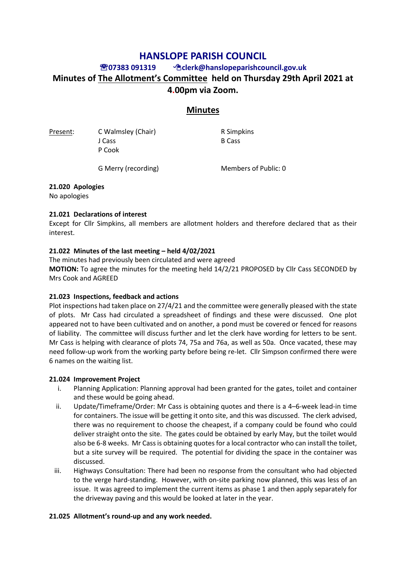# **HANSLOPE PARISH COUNCIL**

# **07383 091319 clerk@hanslopeparishcouncil.gov.uk Minutes of The Allotment's Committee held on Thursday 29th April 2021 at 4.00pm via Zoom.**

# **Minutes**

J Cass B Cass P Cook

Present: C Walmsley (Chair) R Simpkins

G Merry (recording) Members of Public: 0

### **21.020 Apologies**

No apologies

### **21.021 Declarations of interest**

Except for Cllr Simpkins, all members are allotment holders and therefore declared that as their interest.

### **21.022 Minutes of the last meeting – held 4/02/2021**

The minutes had previously been circulated and were agreed **MOTION:** To agree the minutes for the meeting held 14/2/21 PROPOSED by Cllr Cass SECONDED by Mrs Cook and AGREED

# **21.023 Inspections, feedback and actions**

Plot inspections had taken place on 27/4/21 and the committee were generally pleased with the state of plots. Mr Cass had circulated a spreadsheet of findings and these were discussed. One plot appeared not to have been cultivated and on another, a pond must be covered or fenced for reasons of liability. The committee will discuss further and let the clerk have wording for letters to be sent. Mr Cass is helping with clearance of plots 74, 75a and 76a, as well as 50a. Once vacated, these may need follow-up work from the working party before being re-let. Cllr Simpson confirmed there were 6 names on the waiting list.

#### **21.024 Improvement Project**

- i. Planning Application: Planning approval had been granted for the gates, toilet and container and these would be going ahead.
- ii. Update/Timeframe/Order: Mr Cass is obtaining quotes and there is a 4–6-week lead-in time for containers. The issue will be getting it onto site, and this was discussed. The clerk advised, there was no requirement to choose the cheapest, if a company could be found who could deliver straight onto the site. The gates could be obtained by early May, but the toilet would also be 6-8 weeks. Mr Cass is obtaining quotes for a local contractor who can install the toilet, but a site survey will be required. The potential for dividing the space in the container was discussed.
- iii. Highways Consultation: There had been no response from the consultant who had objected to the verge hard-standing. However, with on-site parking now planned, this was less of an issue. It was agreed to implement the current items as phase 1 and then apply separately for the driveway paving and this would be looked at later in the year.

# **21.025 Allotment's round-up and any work needed.**